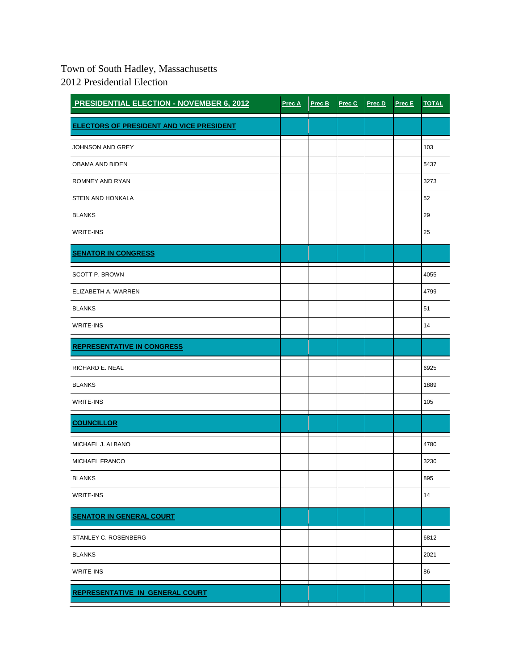## Town of South Hadley, Massachusetts 2012 Presidential Election

| <b>PRESIDENTIAL ELECTION - NOVEMBER 6, 2012</b> | Prec A | Prec B | Prec C | Prec D | Prec E | <b>TOTAL</b> |
|-------------------------------------------------|--------|--------|--------|--------|--------|--------------|
| <b>ELECTORS OF PRESIDENT AND VICE PRESIDENT</b> |        |        |        |        |        |              |
| JOHNSON AND GREY                                |        |        |        |        |        | 103          |
| OBAMA AND BIDEN                                 |        |        |        |        |        | 5437         |
| ROMNEY AND RYAN                                 |        |        |        |        |        | 3273         |
| STEIN AND HONKALA                               |        |        |        |        |        | 52           |
| <b>BLANKS</b>                                   |        |        |        |        |        | 29           |
| <b>WRITE-INS</b>                                |        |        |        |        |        | 25           |
| <b>SENATOR IN CONGRESS</b>                      |        |        |        |        |        |              |
| <b>SCOTT P. BROWN</b>                           |        |        |        |        |        | 4055         |
| ELIZABETH A. WARREN                             |        |        |        |        |        | 4799         |
| <b>BLANKS</b>                                   |        |        |        |        |        | 51           |
| <b>WRITE-INS</b>                                |        |        |        |        |        | 14           |
| <b>REPRESENTATIVE IN CONGRESS</b>               |        |        |        |        |        |              |
| RICHARD E. NEAL                                 |        |        |        |        |        | 6925         |
| <b>BLANKS</b>                                   |        |        |        |        |        | 1889         |
| <b>WRITE-INS</b>                                |        |        |        |        |        | 105          |
| <b>COUNCILLOR</b>                               |        |        |        |        |        |              |
| MICHAEL J. ALBANO                               |        |        |        |        |        | 4780         |
| MICHAEL FRANCO                                  |        |        |        |        |        | 3230         |
| <b>BLANKS</b>                                   |        |        |        |        |        | 895          |
| <b>WRITE-INS</b>                                |        |        |        |        |        | 14           |
| <b>SENATOR IN GENERAL COURT</b>                 |        |        |        |        |        |              |
| STANLEY C. ROSENBERG                            |        |        |        |        |        | 6812         |
| <b>BLANKS</b>                                   |        |        |        |        |        | 2021         |
| <b>WRITE-INS</b>                                |        |        |        |        |        | 86           |
| <b>REPRESENTATIVE IN GENERAL COURT</b>          |        |        |        |        |        |              |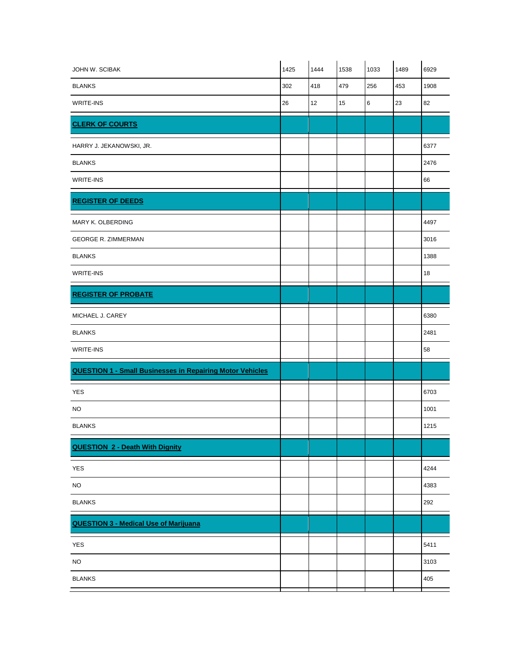| JOHN W. SCIBAK                                                   | 1425 | 1444 | 1538 | 1033 | 1489 | 6929 |
|------------------------------------------------------------------|------|------|------|------|------|------|
| <b>BLANKS</b>                                                    | 302  | 418  | 479  | 256  | 453  | 1908 |
| WRITE-INS                                                        | 26   | 12   | 15   | 6    | 23   | 82   |
| <b>CLERK OF COURTS</b>                                           |      |      |      |      |      |      |
| HARRY J. JEKANOWSKI, JR.                                         |      |      |      |      |      | 6377 |
| <b>BLANKS</b>                                                    |      |      |      |      |      | 2476 |
| <b>WRITE-INS</b>                                                 |      |      |      |      |      | 66   |
| <b>REGISTER OF DEEDS</b>                                         |      |      |      |      |      |      |
| MARY K. OLBERDING                                                |      |      |      |      |      | 4497 |
| <b>GEORGE R. ZIMMERMAN</b>                                       |      |      |      |      |      | 3016 |
| <b>BLANKS</b>                                                    |      |      |      |      |      | 1388 |
| <b>WRITE-INS</b>                                                 |      |      |      |      |      | 18   |
| <b>REGISTER OF PROBATE</b>                                       |      |      |      |      |      |      |
| MICHAEL J. CAREY                                                 |      |      |      |      |      | 6380 |
| <b>BLANKS</b>                                                    |      |      |      |      |      | 2481 |
| <b>WRITE-INS</b>                                                 |      |      |      |      |      | 58   |
| <b>QUESTION 1 - Small Businesses in Repairing Motor Vehicles</b> |      |      |      |      |      |      |
| <b>YES</b>                                                       |      |      |      |      |      | 6703 |
| <b>NO</b>                                                        |      |      |      |      |      | 1001 |
| <b>BLANKS</b>                                                    |      |      |      |      |      | 1215 |
| <b>QUESTION 2 - Death With Dignity</b>                           |      |      |      |      |      |      |
| YES                                                              |      |      |      |      |      | 4244 |
| $NO$                                                             |      |      |      |      |      | 4383 |
| <b>BLANKS</b>                                                    |      |      |      |      |      | 292  |
| <b>QUESTION 3 - Medical Use of Marijuana</b>                     |      |      |      |      |      |      |
| YES                                                              |      |      |      |      |      | 5411 |
| NO.                                                              |      |      |      |      |      | 3103 |
| <b>BLANKS</b>                                                    |      |      |      |      |      | 405  |